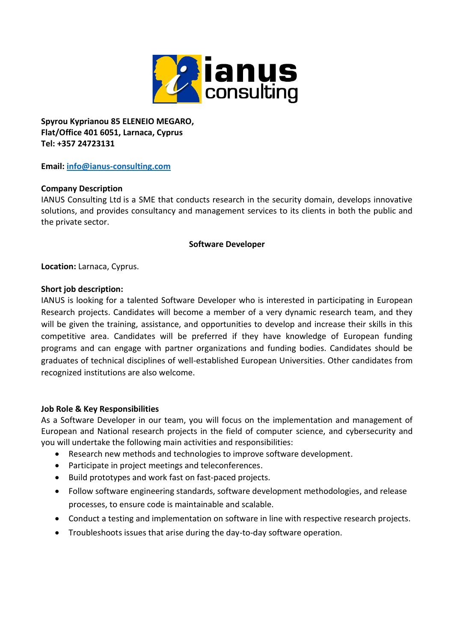

**Spyrou Kyprianou 85 ELENEIO MEGARO, Flat/Office 401 6051, Larnaca, Cyprus Tel: +357 24723131**

**Email: [info@ianus-consulting.com](mailto:info@ianus-consulting.com)**

# **Company Description**

IANUS Consulting Ltd is a SME that conducts research in the security domain, develops innovative solutions, and provides consultancy and management services to its clients in both the public and the private sector.

### **Software Developer**

**Location:** Larnaca, Cyprus.

### **Short job description:**

IANUS is looking for a talented Software Developer who is interested in participating in European Research projects. Candidates will become a member of a very dynamic research team, and they will be given the training, assistance, and opportunities to develop and increase their skills in this competitive area. Candidates will be preferred if they have knowledge of European funding programs and can engage with partner organizations and funding bodies. Candidates should be graduates of technical disciplines of well-established European Universities. Other candidates from recognized institutions are also welcome.

# **Job Role & Key Responsibilities**

As a Software Developer in our team, you will focus on the implementation and management of European and National research projects in the field of computer science, and cybersecurity and you will undertake the following main activities and responsibilities:

- Research new methods and technologies to improve software development.
- Participate in project meetings and teleconferences.
- Build prototypes and work fast on fast-paced projects.
- Follow software engineering standards, software development methodologies, and release processes, to ensure code is maintainable and scalable.
- Conduct a testing and implementation on software in line with respective research projects.
- Troubleshoots issues that arise during the day-to-day software operation.